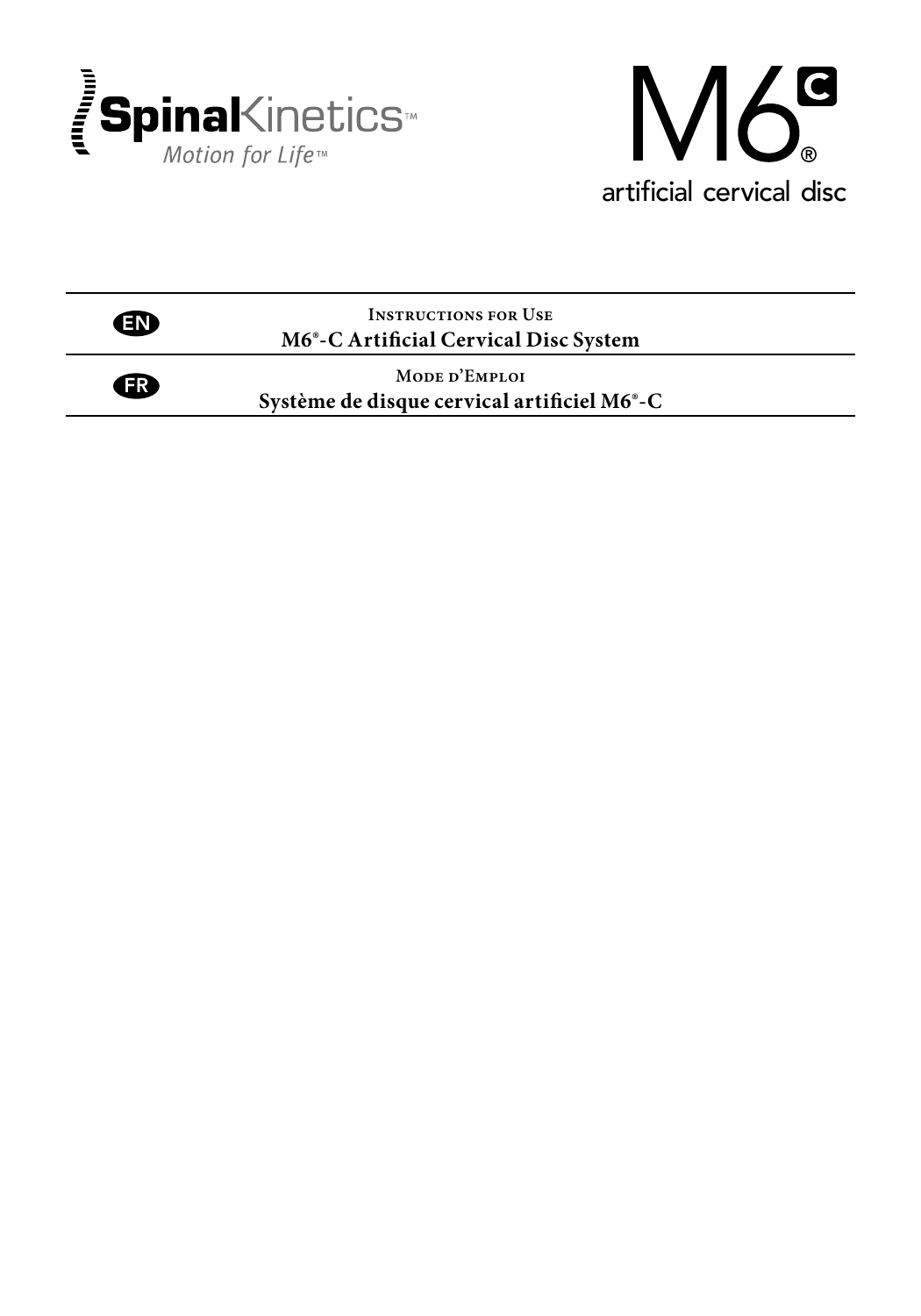

 $\bigoplus$ 



**Instructions for Use M6®-C Artificial Cervical Disc System** EN

**Mode d'Emploi**

**Système de disque cervical artificiel M6®-C**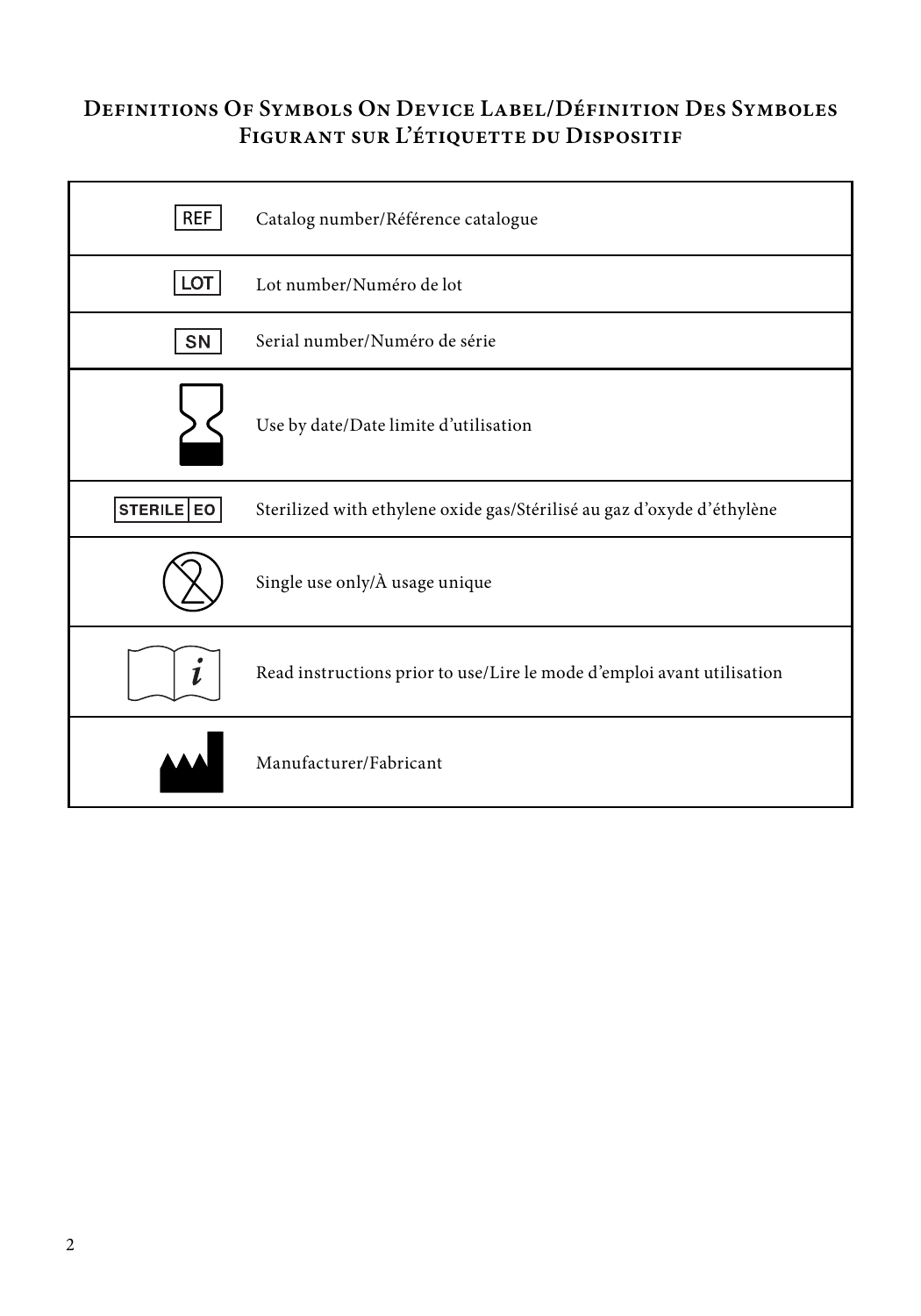### **Definitions Of Symbols On Device Label/Définition Des Symboles Figurant sur L'étiquette du Dispositif**

| REF        | Catalog number/Référence catalogue                                     |
|------------|------------------------------------------------------------------------|
| LOT        | Lot number/Numéro de lot                                               |
| SN         | Serial number/Numéro de série                                          |
|            | Use by date/Date limite d'utilisation                                  |
| STERILE EO | Sterilized with ethylene oxide gas/Stérilisé au gaz d'oxyde d'éthylène |
|            | Single use only/À usage unique                                         |
|            | Read instructions prior to use/Lire le mode d'emploi avant utilisation |
|            | Manufacturer/Fabricant                                                 |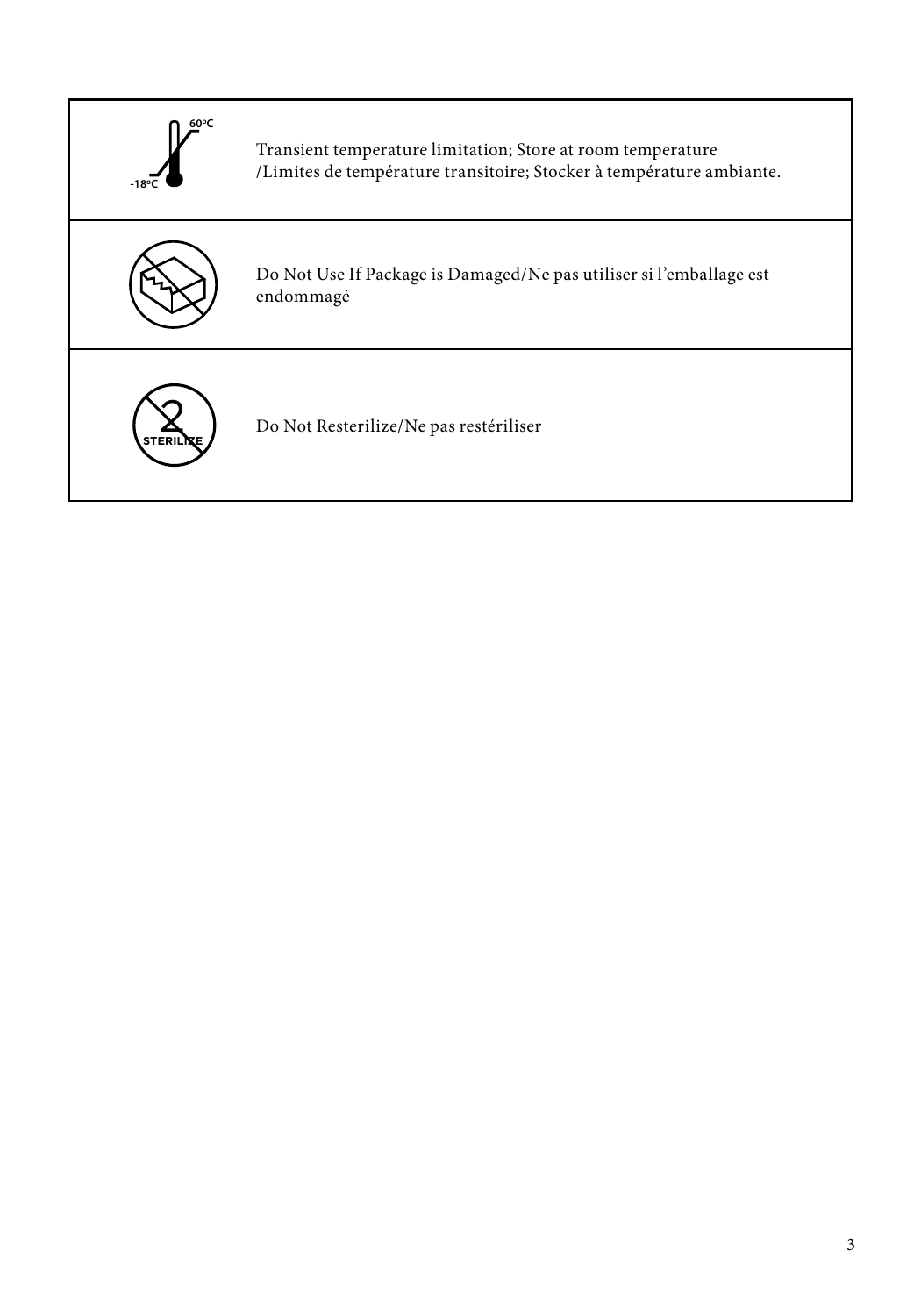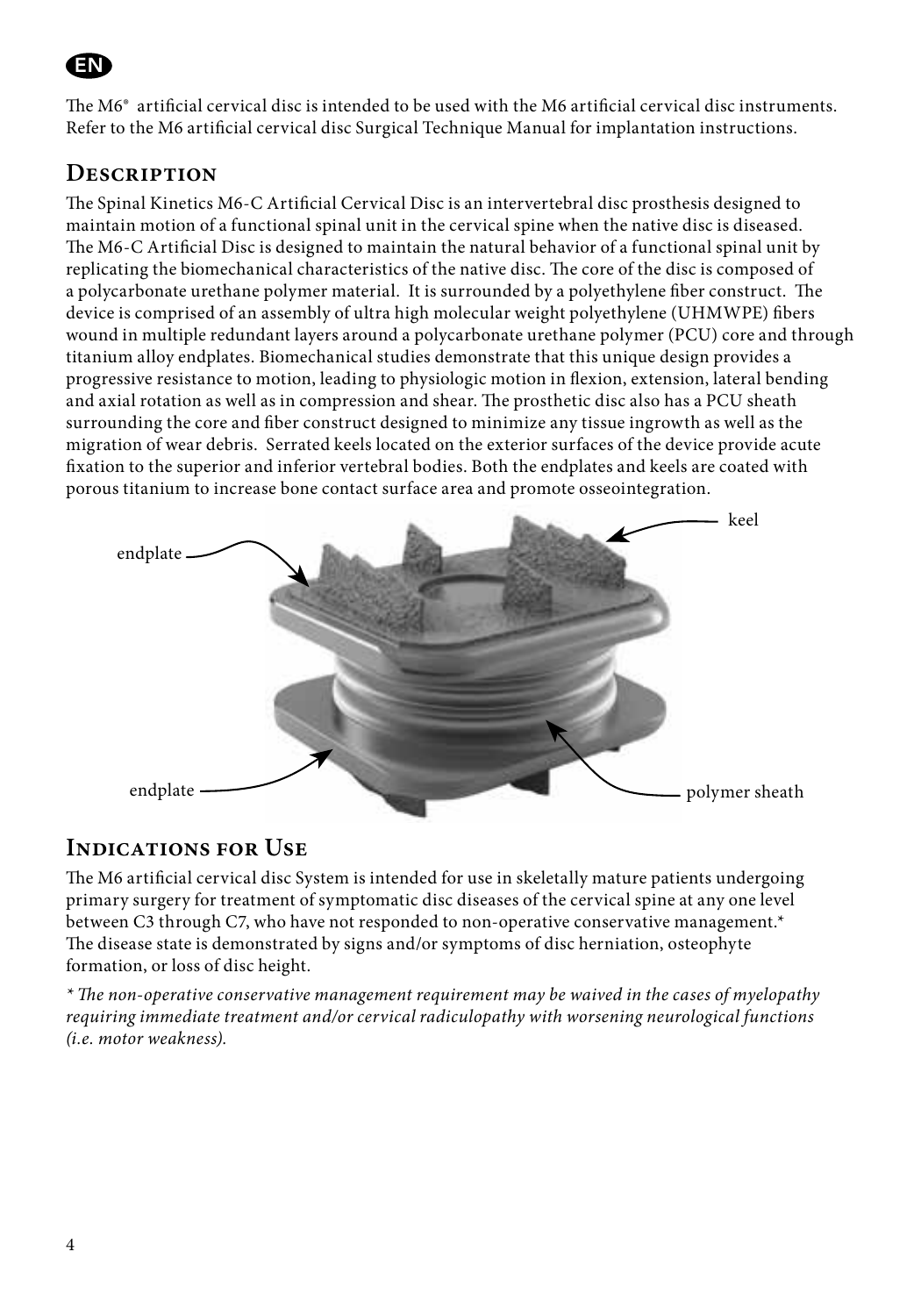## EN

The M6® artificial cervical disc is intended to be used with the M6 artificial cervical disc instruments. Refer to the M6 artificial cervical disc Surgical Technique Manual for implantation instructions.

### **Description**

The Spinal Kinetics M6-C Artificial Cervical Disc is an intervertebral disc prosthesis designed to maintain motion of a functional spinal unit in the cervical spine when the native disc is diseased. The M6-C Artificial Disc is designed to maintain the natural behavior of a functional spinal unit by replicating the biomechanical characteristics of the native disc. The core of the disc is composed of a polycarbonate urethane polymer material. It is surrounded by a polyethylene fiber construct. The device is comprised of an assembly of ultra high molecular weight polyethylene (UHMWPE) fibers wound in multiple redundant layers around a polycarbonate urethane polymer (PCU) core and through titanium alloy endplates. Biomechanical studies demonstrate that this unique design provides a progressive resistance to motion, leading to physiologic motion in flexion, extension, lateral bending and axial rotation as well as in compression and shear. The prosthetic disc also has a PCU sheath surrounding the core and fiber construct designed to minimize any tissue ingrowth as well as the migration of wear debris. Serrated keels located on the exterior surfaces of the device provide acute fixation to the superior and inferior vertebral bodies. Both the endplates and keels are coated with porous titanium to increase bone contact surface area and promote osseointegration.



### **Indications for Use**

The M6 artificial cervical disc System is intended for use in skeletally mature patients undergoing primary surgery for treatment of symptomatic disc diseases of the cervical spine at any one level between C3 through C7, who have not responded to non-operative conservative management.\* The disease state is demonstrated by signs and/or symptoms of disc herniation, osteophyte formation, or loss of disc height.

*\* The non-operative conservative management requirement may be waived in the cases of myelopathy requiring immediate treatment and/or cervical radiculopathy with worsening neurological functions (i.e. motor weakness).*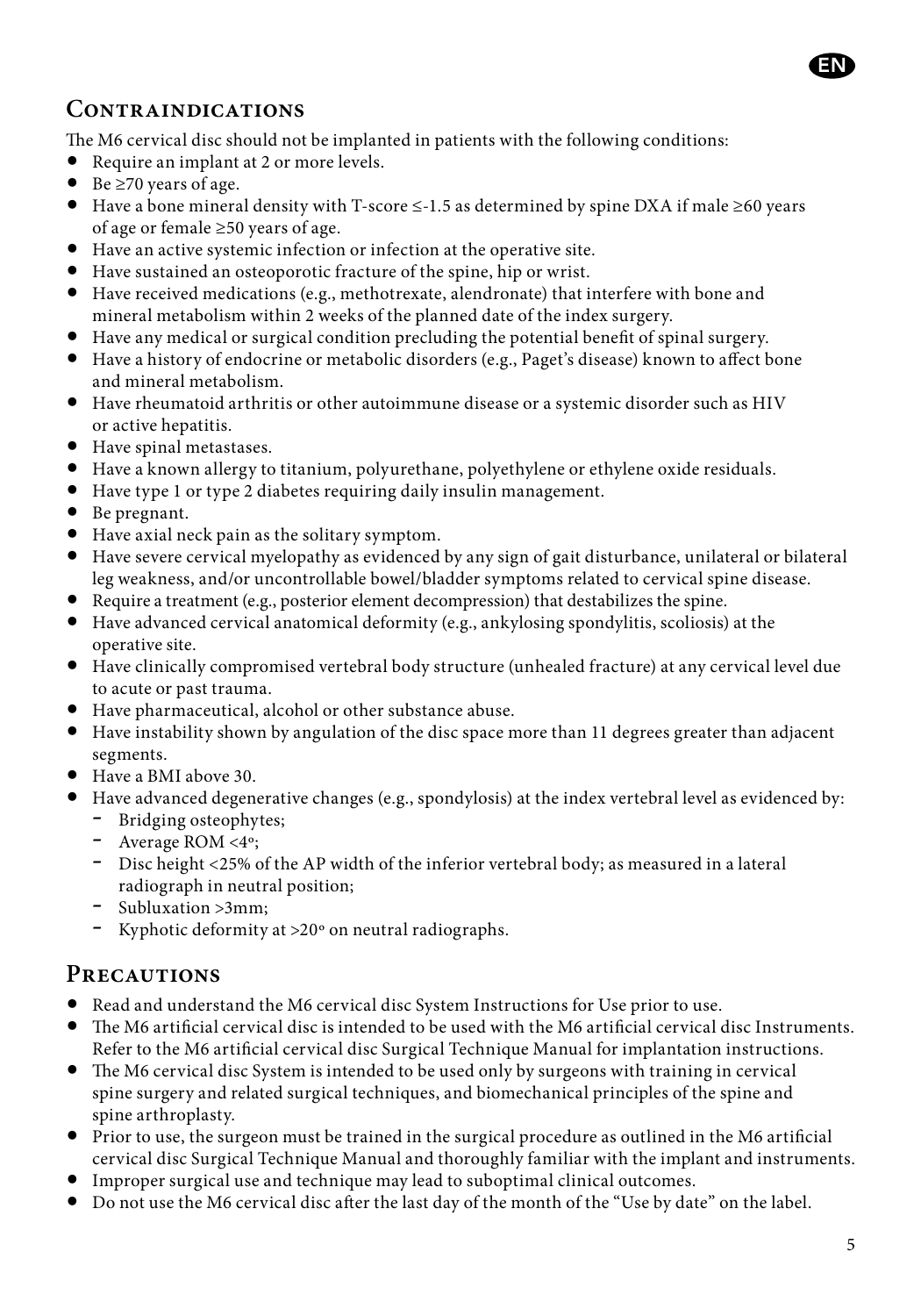

### **Contraindications**

The M6 cervical disc should not be implanted in patients with the following conditions:

- Require an implant at 2 or more levels.
- Be ≥70 years of age.
- Have a bone mineral density with T-score ≤-1.5 as determined by spine DXA if male ≥60 years of age or female ≥50 years of age.
- Have an active systemic infection or infection at the operative site.
- Have sustained an osteoporotic fracture of the spine, hip or wrist.
- Have received medications (e.g., methotrexate, alendronate) that interfere with bone and mineral metabolism within 2 weeks of the planned date of the index surgery.
- Have any medical or surgical condition precluding the potential benefit of spinal surgery.
- Have a history of endocrine or metabolic disorders (e.g., Paget's disease) known to affect bone and mineral metabolism.
- Have rheumatoid arthritis or other autoimmune disease or a systemic disorder such as HIV or active hepatitis.
- Have spinal metastases.
- Have a known allergy to titanium, polyurethane, polyethylene or ethylene oxide residuals.
- Have type 1 or type 2 diabetes requiring daily insulin management.
- Be pregnant.
- Have axial neck pain as the solitary symptom.
- Have severe cervical myelopathy as evidenced by any sign of gait disturbance, unilateral or bilateral leg weakness, and/or uncontrollable bowel/bladder symptoms related to cervical spine disease.
- Require a treatment (e.g., posterior element decompression) that destabilizes the spine.
- Have advanced cervical anatomical deformity (e.g., ankylosing spondylitis, scoliosis) at the operative site.
- Have clinically compromised vertebral body structure (unhealed fracture) at any cervical level due to acute or past trauma.
- Have pharmaceutical, alcohol or other substance abuse.
- Have instability shown by angulation of the disc space more than 11 degrees greater than adjacent segments.
- Have a BMI above 30.
- Have advanced degenerative changes (e.g., spondylosis) at the index vertebral level as evidenced by: - Bridging osteophytes;
	- Average ROM <4º;
	- Disc height <25% of the AP width of the inferior vertebral body; as measured in a lateral radiograph in neutral position;
	- Subluxation >3mm;
	- Kyphotic deformity at >20º on neutral radiographs.

### **Precautions**

- Read and understand the M6 cervical disc System Instructions for Use prior to use.
- The M6 artificial cervical disc is intended to be used with the M6 artificial cervical disc Instruments. Refer to the M6 artificial cervical disc Surgical Technique Manual for implantation instructions.
- The M6 cervical disc System is intended to be used only by surgeons with training in cervical spine surgery and related surgical techniques, and biomechanical principles of the spine and spine arthroplasty.
- Prior to use, the surgeon must be trained in the surgical procedure as outlined in the M6 artificial cervical disc Surgical Technique Manual and thoroughly familiar with the implant and instruments.
- Improper surgical use and technique may lead to suboptimal clinical outcomes.
- Do not use the M6 cervical disc after the last day of the month of the "Use by date" on the label.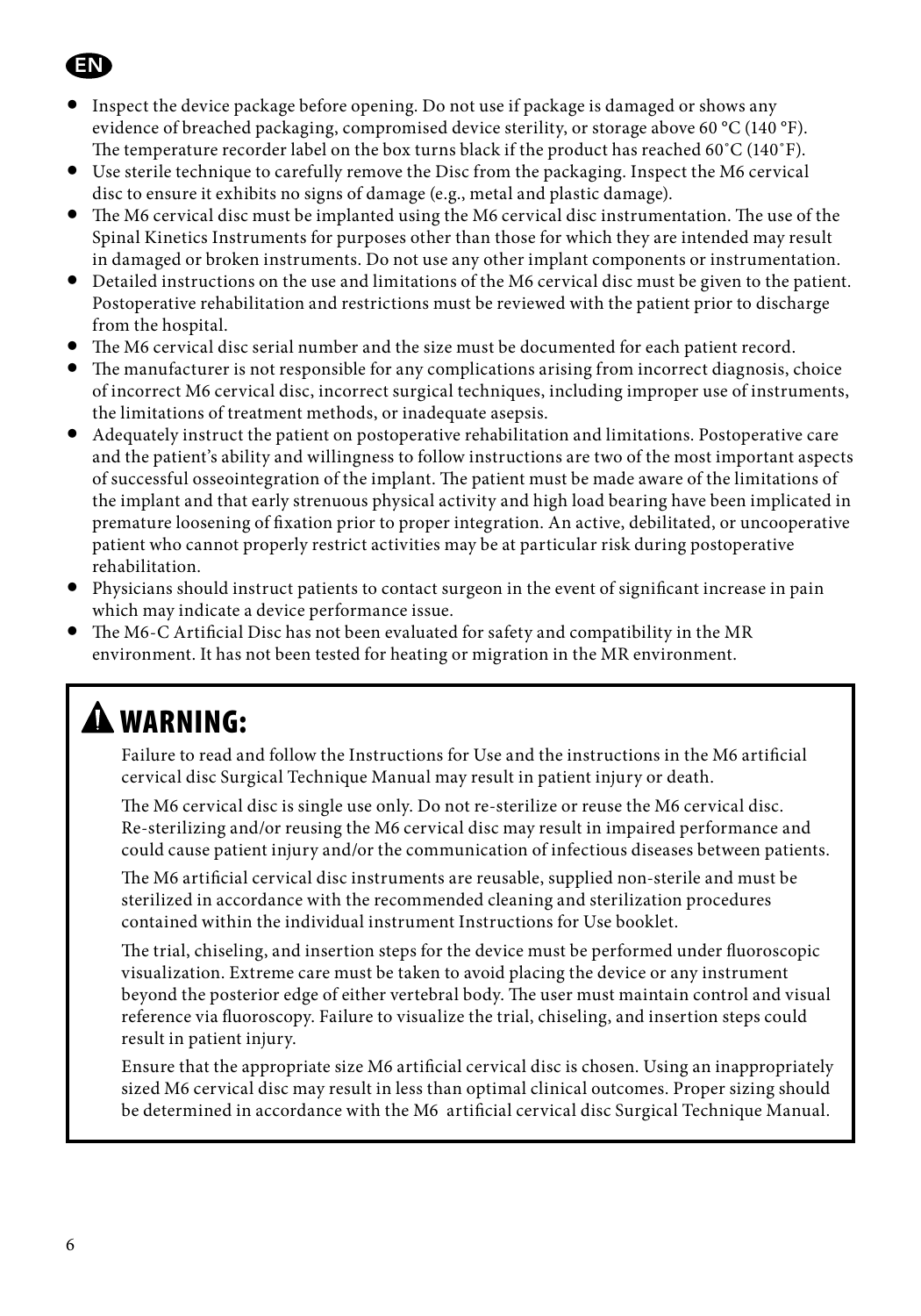## EN

- Inspect the device package before opening. Do not use if package is damaged or shows any evidence of breached packaging, compromised device sterility, or storage above 60 °C (140 °F). The temperature recorder label on the box turns black if the product has reached 60˚C (140˚F).
- Use sterile technique to carefully remove the Disc from the packaging. Inspect the M6 cervical disc to ensure it exhibits no signs of damage (e.g., metal and plastic damage).
- The M6 cervical disc must be implanted using the M6 cervical disc instrumentation. The use of the Spinal Kinetics Instruments for purposes other than those for which they are intended may result in damaged or broken instruments. Do not use any other implant components or instrumentation.
- Detailed instructions on the use and limitations of the M6 cervical disc must be given to the patient. Postoperative rehabilitation and restrictions must be reviewed with the patient prior to discharge from the hospital.
- The M6 cervical disc serial number and the size must be documented for each patient record.
- The manufacturer is not responsible for any complications arising from incorrect diagnosis, choice of incorrect M6 cervical disc, incorrect surgical techniques, including improper use of instruments, the limitations of treatment methods, or inadequate asepsis.
- Adequately instruct the patient on postoperative rehabilitation and limitations. Postoperative care and the patient's ability and willingness to follow instructions are two of the most important aspects of successful osseointegration of the implant. The patient must be made aware of the limitations of the implant and that early strenuous physical activity and high load bearing have been implicated in premature loosening of fixation prior to proper integration. An active, debilitated, or uncooperative patient who cannot properly restrict activities may be at particular risk during postoperative rehabilitation.
- Physicians should instruct patients to contact surgeon in the event of significant increase in pain which may indicate a device performance issue.
- The M6-C Artificial Disc has not been evaluated for safety and compatibility in the MR environment. It has not been tested for heating or migration in the MR environment.

# $\mathbf{\Lambda}$  warning:

Failure to read and follow the Instructions for Use and the instructions in the M6 artificial cervical disc Surgical Technique Manual may result in patient injury or death.

The M6 cervical disc is single use only. Do not re-sterilize or reuse the M6 cervical disc. Re-sterilizing and/or reusing the M6 cervical disc may result in impaired performance and could cause patient injury and/or the communication of infectious diseases between patients.

The M6 artificial cervical disc instruments are reusable, supplied non-sterile and must be sterilized in accordance with the recommended cleaning and sterilization procedures contained within the individual instrument Instructions for Use booklet.

The trial, chiseling, and insertion steps for the device must be performed under fluoroscopic visualization. Extreme care must be taken to avoid placing the device or any instrument beyond the posterior edge of either vertebral body. The user must maintain control and visual reference via fluoroscopy. Failure to visualize the trial, chiseling, and insertion steps could result in patient injury.

Ensure that the appropriate size M6 artificial cervical disc is chosen. Using an inappropriately sized M6 cervical disc may result in less than optimal clinical outcomes. Proper sizing should be determined in accordance with the M6 artificial cervical disc Surgical Technique Manual.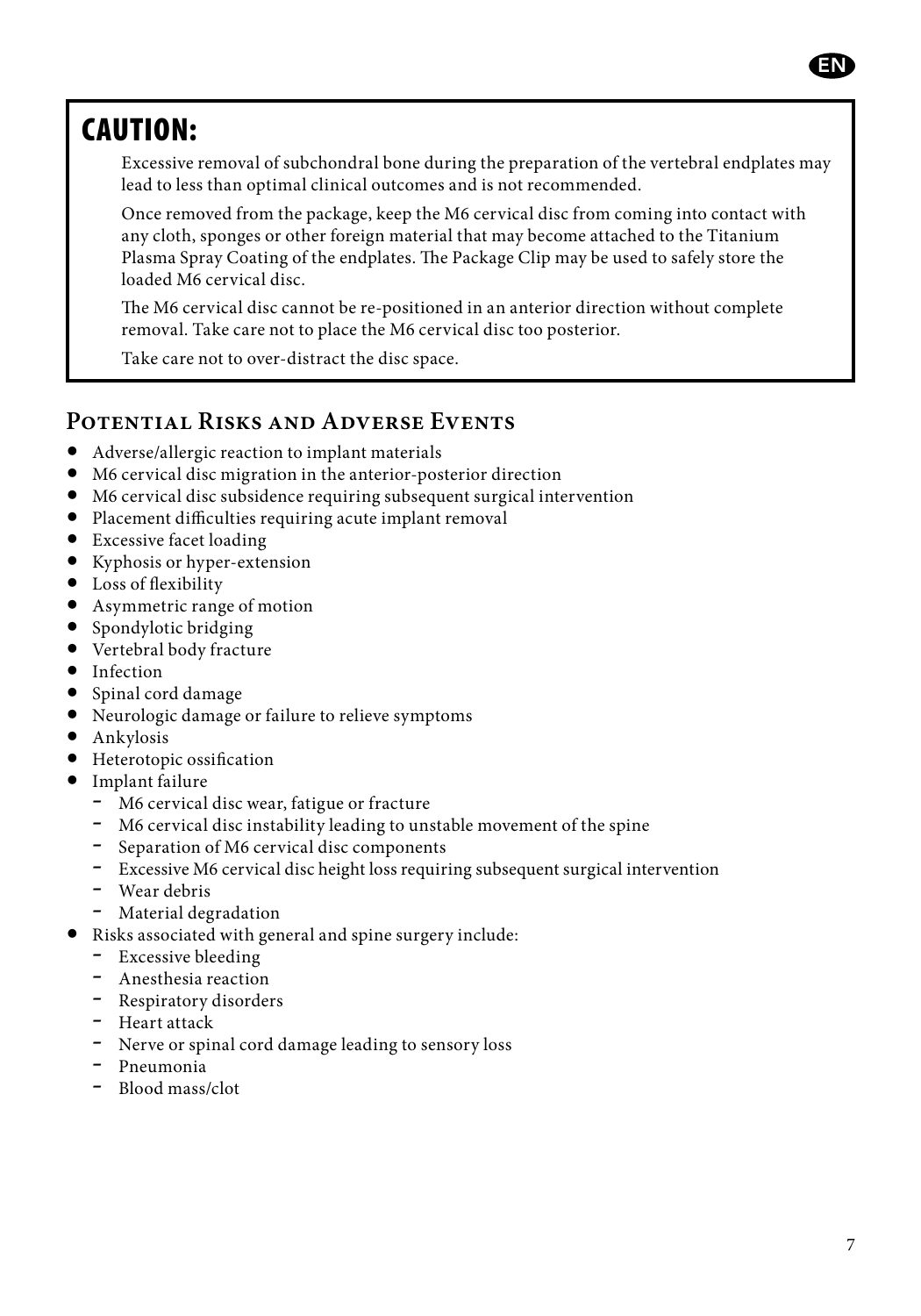## CAUTION:

Excessive removal of subchondral bone during the preparation of the vertebral endplates may lead to less than optimal clinical outcomes and is not recommended.

Once removed from the package, keep the M6 cervical disc from coming into contact with any cloth, sponges or other foreign material that may become attached to the Titanium Plasma Spray Coating of the endplates. The Package Clip may be used to safely store the loaded M6 cervical disc.

The M6 cervical disc cannot be re-positioned in an anterior direction without complete removal. Take care not to place the M6 cervical disc too posterior.

Take care not to over-distract the disc space.

### **Potential Risks and Adverse Events**

- Adverse/allergic reaction to implant materials
- M6 cervical disc migration in the anterior-posterior direction
- M6 cervical disc subsidence requiring subsequent surgical intervention
- Placement difficulties requiring acute implant removal
- Excessive facet loading
- Kyphosis or hyper-extension
- Loss of flexibility
- Asymmetric range of motion
- Spondylotic bridging
- Vertebral body fracture
- Infection
- Spinal cord damage
- Neurologic damage or failure to relieve symptoms
- Ankylosis
- Heterotopic ossification
- Implant failure
	- M6 cervical disc wear, fatigue or fracture
	- M6 cervical disc instability leading to unstable movement of the spine
	- Separation of M6 cervical disc components
	- Excessive M6 cervical disc height loss requiring subsequent surgical intervention
	- Wear debris
	- Material degradation
- Risks associated with general and spine surgery include:
	- Excessive bleeding
	- Anesthesia reaction
	- Respiratory disorders
	- Heart attack
	- Nerve or spinal cord damage leading to sensory loss
	- Pneumonia
	- Blood mass/clot

EN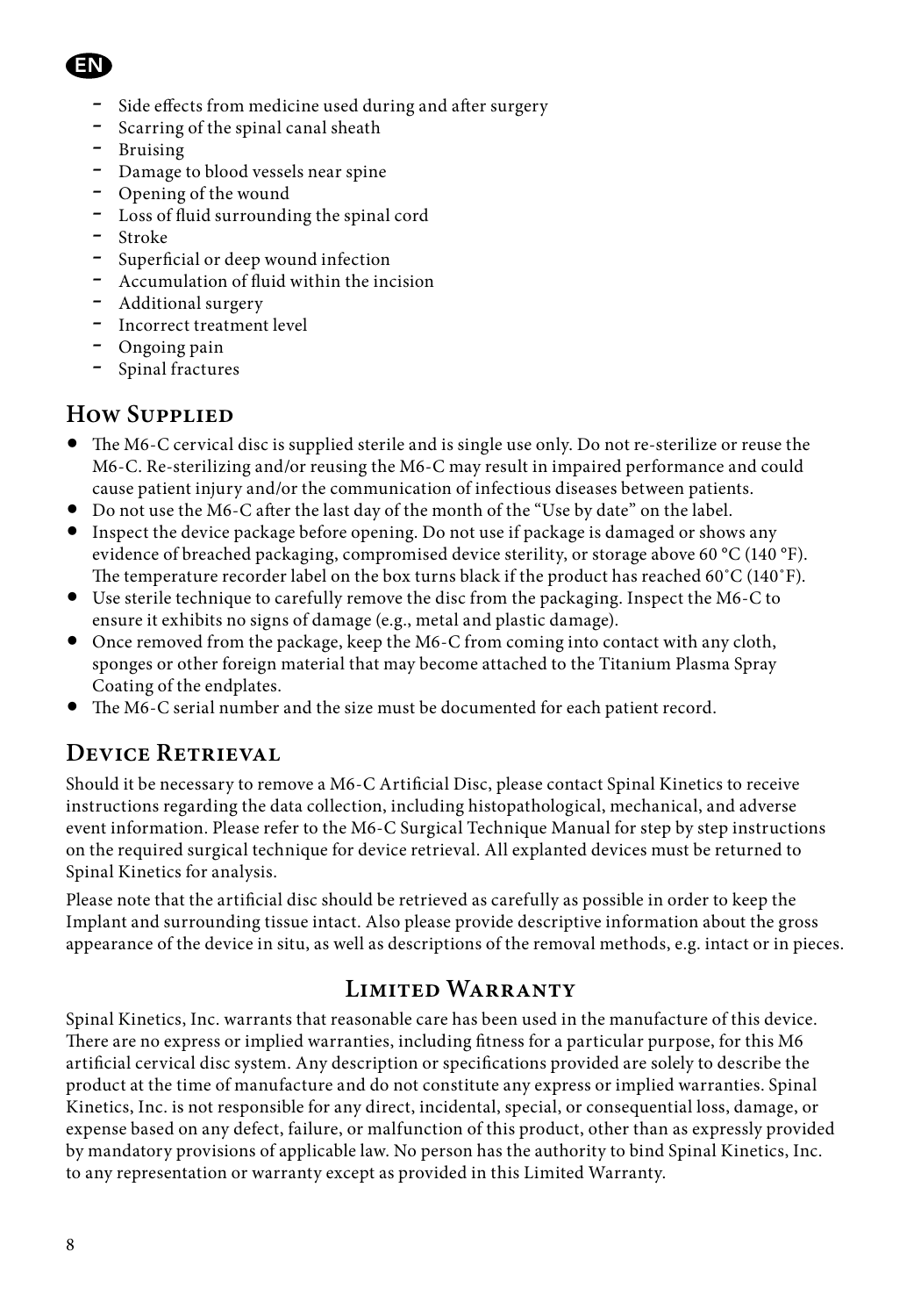### EN

- Side effects from medicine used during and after surgery
- Scarring of the spinal canal sheath
- Bruising
- Damage to blood vessels near spine
- Opening of the wound
- Loss of fluid surrounding the spinal cord
- Stroke
- Superficial or deep wound infection
- Accumulation of fluid within the incision
- Additional surgery
- Incorrect treatment level
- Ongoing pain
- Spinal fractures

### **How Supplied**

- The M6-C cervical disc is supplied sterile and is single use only. Do not re-sterilize or reuse the M6-C. Re-sterilizing and/or reusing the M6-C may result in impaired performance and could cause patient injury and/or the communication of infectious diseases between patients.
- Do not use the M6-C after the last day of the month of the "Use by date" on the label.
- Inspect the device package before opening. Do not use if package is damaged or shows any evidence of breached packaging, compromised device sterility, or storage above 60 °C (140 °F). The temperature recorder label on the box turns black if the product has reached 60˚C (140˚F).
- Use sterile technique to carefully remove the disc from the packaging. Inspect the M6-C to ensure it exhibits no signs of damage (e.g., metal and plastic damage).
- Once removed from the package, keep the M6-C from coming into contact with any cloth, sponges or other foreign material that may become attached to the Titanium Plasma Spray Coating of the endplates.
- The M6-C serial number and the size must be documented for each patient record.

### **Device Retrieval**

Should it be necessary to remove a M6-C Artificial Disc, please contact Spinal Kinetics to receive instructions regarding the data collection, including histopathological, mechanical, and adverse event information. Please refer to the M6-C Surgical Technique Manual for step by step instructions on the required surgical technique for device retrieval. All explanted devices must be returned to Spinal Kinetics for analysis.

Please note that the artificial disc should be retrieved as carefully as possible in order to keep the Implant and surrounding tissue intact. Also please provide descriptive information about the gross appearance of the device in situ, as well as descriptions of the removal methods, e.g. intact or in pieces.

### **Limited Warranty**

Spinal Kinetics, Inc. warrants that reasonable care has been used in the manufacture of this device. There are no express or implied warranties, including fitness for a particular purpose, for this M6 artificial cervical disc system. Any description or specifications provided are solely to describe the product at the time of manufacture and do not constitute any express or implied warranties. Spinal Kinetics, Inc. is not responsible for any direct, incidental, special, or consequential loss, damage, or expense based on any defect, failure, or malfunction of this product, other than as expressly provided by mandatory provisions of applicable law. No person has the authority to bind Spinal Kinetics, Inc. to any representation or warranty except as provided in this Limited Warranty.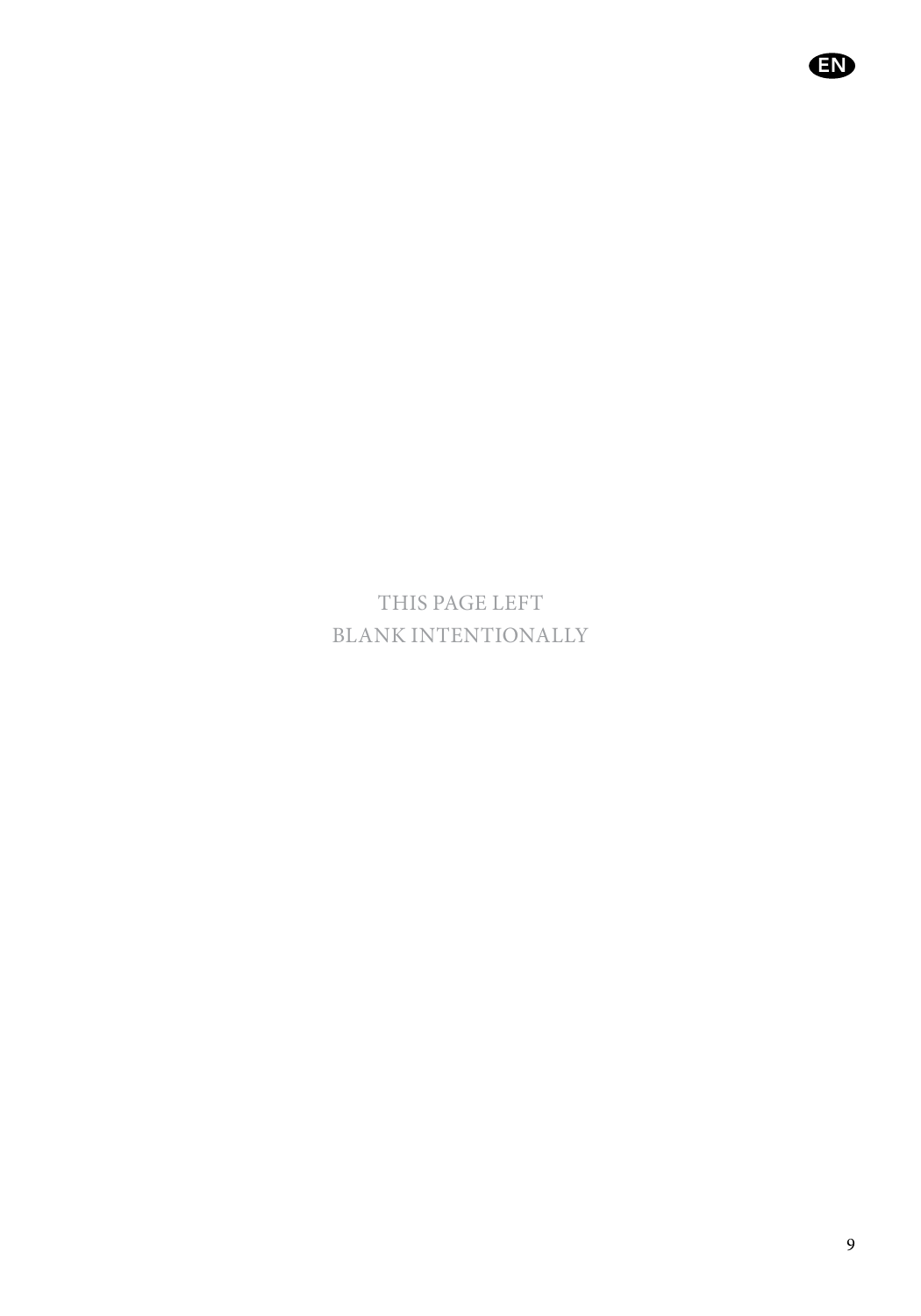THIS PAGE LEFT BLANK INTENTIONALLY EN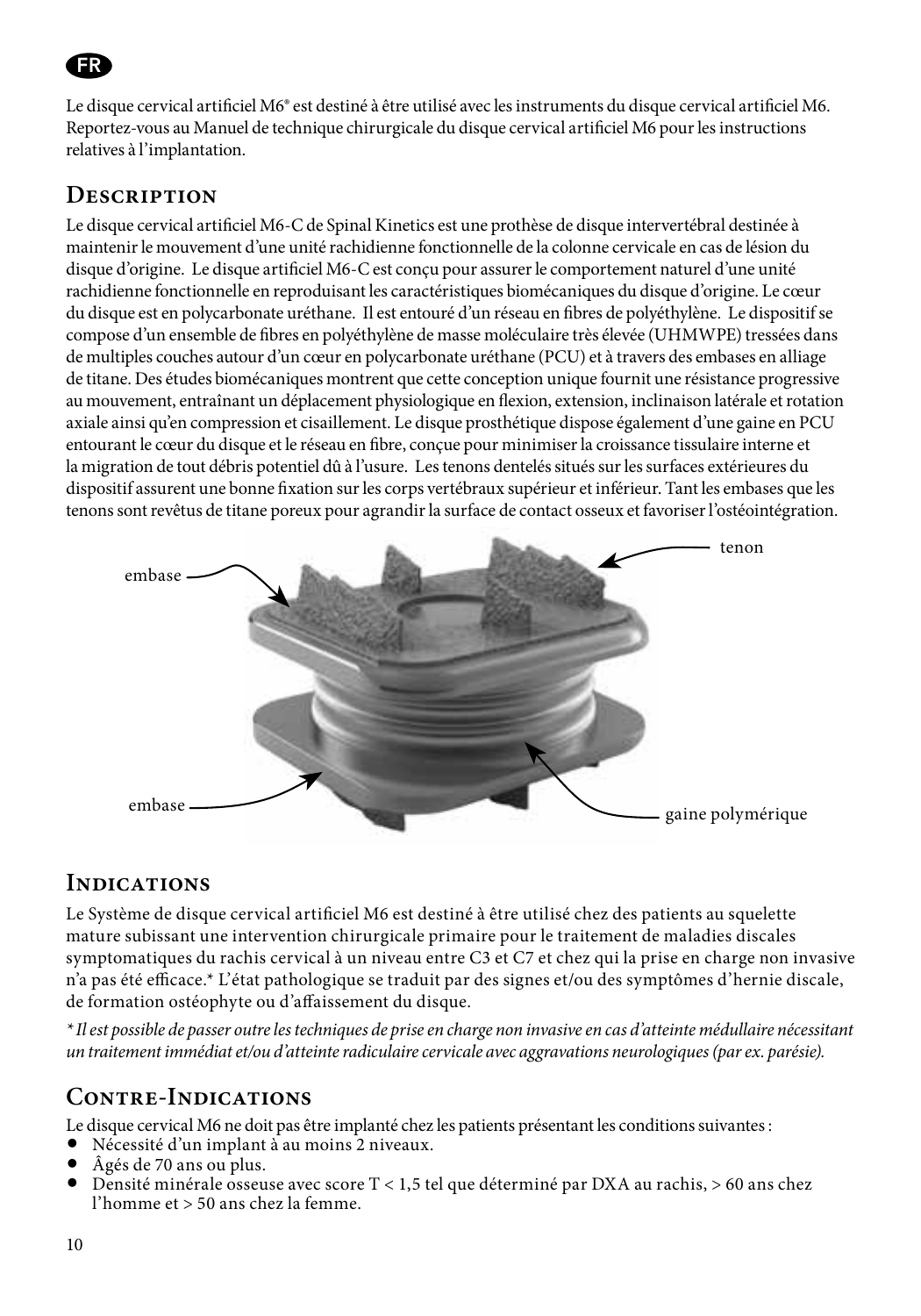### FR

Le disque cervical artificiel M6<sup>®</sup> est destiné à être utilisé avec les instruments du disque cervical artificiel M6. Reportez-vous au Manuel de technique chirurgicale du disque cervical artificiel M6 pour les instructions relatives à l'implantation.

### **Description**

Le disque cervical artificiel M6-C de Spinal Kinetics est une prothèse de disque intervertébral destinée à maintenir le mouvement d'une unité rachidienne fonctionnelle de la colonne cervicale en cas de lésion du disque d'origine. Le disque artificiel M6-C est conçu pour assurer le comportement naturel d'une unité rachidienne fonctionnelle en reproduisant les caractéristiques biomécaniques du disque d'origine. Le cœur du disque est en polycarbonate uréthane. Il est entouré d'un réseau en fibres de polyéthylène. Le dispositif se compose d'un ensemble de fibres en polyéthylène de masse moléculaire très élevée (UHMWPE) tressées dans de multiples couches autour d'un cœur en polycarbonate uréthane (PCU) et à travers des embases en alliage de titane. Des études biomécaniques montrent que cette conception unique fournit une résistance progressive au mouvement, entraînant un déplacement physiologique en flexion, extension, inclinaison latérale et rotation axiale ainsi qu'en compression et cisaillement. Le disque prosthétique dispose également d'une gaine en PCU entourant le cœur du disque et le réseau en fibre, conçue pour minimiser la croissance tissulaire interne et la migration de tout débris potentiel dû à l'usure. Les tenons dentelés situés sur les surfaces extérieures du dispositif assurent une bonne fixation sur les corps vertébraux supérieur et inférieur. Tant les embases que les tenons sont revêtus de titane poreux pour agrandir la surface de contact osseux et favoriser l'ostéointégration.



### **Indications**

Le Système de disque cervical artificiel M6 est destiné à être utilisé chez des patients au squelette mature subissant une intervention chirurgicale primaire pour le traitement de maladies discales symptomatiques du rachis cervical à un niveau entre C3 et C7 et chez qui la prise en charge non invasive n'a pas été efficace.\* L'état pathologique se traduit par des signes et/ou des symptômes d'hernie discale, de formation ostéophyte ou d'affaissement du disque.

*\* Il est possible de passer outre les techniques de prise en charge non invasive en cas d'atteinte médullaire nécessitant un traitement immédiat et/ou d'atteinte radiculaire cervicale avec aggravations neurologiques (par ex. parésie).* 

### **Contre-Indications**

Le disque cervical M6 ne doit pas être implanté chez les patients présentant les conditions suivantes :

- Nécessité d'un implant à au moins 2 niveaux.
- Âgés de 70 ans ou plus.
- Densité minérale osseuse avec score T < 1,5 tel que déterminé par DXA au rachis, > 60 ans chez l'homme et > 50 ans chez la femme.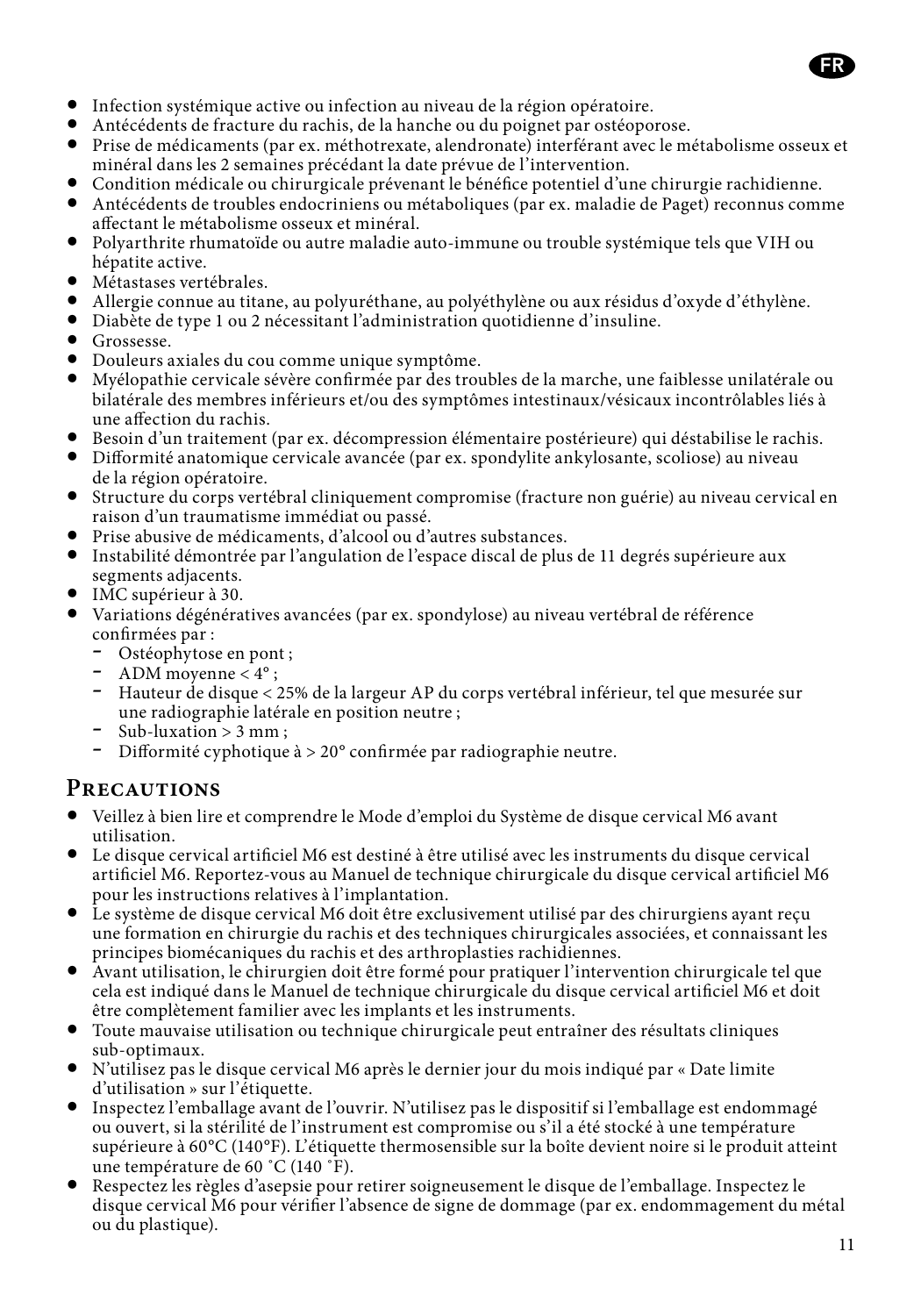

- Infection systémique active ou infection au niveau de la région opératoire.
- Antécédents de fracture du rachis, de la hanche ou du poignet par ostéoporose.
- Prise de médicaments (par ex. méthotrexate, alendronate) interférant avec le métabolisme osseux et minéral dans les 2 semaines précédant la date prévue de l'intervention.
- Condition médicale ou chirurgicale prévenant le bénéfice potentiel d'une chirurgie rachidienne.
- Antécédents de troubles endocriniens ou métaboliques (par ex. maladie de Paget) reconnus comme affectant le métabolisme osseux et minéral.
- Polyarthrite rhumatoïde ou autre maladie auto-immune ou trouble systémique tels que VIH ou hépatite active.
- Métastases vertébrales.
- Allergie connue au titane, au polyuréthane, au polyéthylène ou aux résidus d'oxyde d'éthylène.
- Diabète de type 1 ou 2 nécessitant l'administration quotidienne d'insuline.
- Grossesse.
- Douleurs axiales du cou comme unique symptôme.
- Myélopathie cervicale sévère confirmée par des troubles de la marche, une faiblesse unilatérale ou bilatérale des membres inférieurs et/ou des symptômes intestinaux/vésicaux incontrôlables liés à une affection du rachis.
- Besoin d'un traitement (par ex. décompression élémentaire postérieure) qui déstabilise le rachis.
- Difformité anatomique cervicale avancée (par ex. spondylite ankylosante, scoliose) au niveau de la région opératoire.
- Structure du corps vertébral cliniquement compromise (fracture non guérie) au niveau cervical en raison d'un traumatisme immédiat ou passé.
- Prise abusive de médicaments, d'alcool ou d'autres substances.
- Instabilité démontrée par l'angulation de l'espace discal de plus de 11 degrés supérieure aux segments adjacents.
- IMC supérieur à 30.
- Variations dégénératives avancées (par ex. spondylose) au niveau vertébral de référence confirmées par :
	- Ostéophytose en pont ;
	- ADM moyenne < 4° ;
	- Hauteur de disque < 25% de la largeur AP du corps vertébral inférieur, tel que mesurée sur une radiographie latérale en position neutre ;
	- $-$  Sub-luxation  $> 3$  mm;
	- Difformité cyphotique à > 20° confirmée par radiographie neutre.

### **Precautions**

- Veillez à bien lire et comprendre le Mode d'emploi du Système de disque cervical M6 avant utilisation.
- Le disque cervical artificiel M6 est destiné à être utilisé avec les instruments du disque cervical artificiel M6. Reportez-vous au Manuel de technique chirurgicale du disque cervical artificiel M6 pour les instructions relatives à l'implantation.
- Le système de disque cervical M6 doit être exclusivement utilisé par des chirurgiens ayant reçu une formation en chirurgie du rachis et des techniques chirurgicales associées, et connaissant les principes biomécaniques du rachis et des arthroplasties rachidiennes.
- Avant utilisation, le chirurgien doit être formé pour pratiquer l'intervention chirurgicale tel que cela est indiqué dans le Manuel de technique chirurgicale du disque cervical artificiel M6 et doit être complètement familier avec les implants et les instruments.
- Toute mauvaise utilisation ou technique chirurgicale peut entraîner des résultats cliniques sub-optimaux.
- N'utilisez pas le disque cervical M6 après le dernier jour du mois indiqué par « Date limite d'utilisation » sur l'étiquette.
- Inspectez l'emballage avant de l'ouvrir. N'utilisez pas le dispositif si l'emballage est endommagé ou ouvert, si la stérilité de l'instrument est compromise ou s'il a été stocké à une température supérieure à 60°C (140°F). L'étiquette thermosensible sur la boîte devient noire si le produit atteint une température de 60 ˚C (140 ˚F).
- Respectez les règles d'asepsie pour retirer soigneusement le disque de l'emballage. Inspectez le disque cervical M6 pour vérifier l'absence de signe de dommage (par ex. endommagement du métal ou du plastique).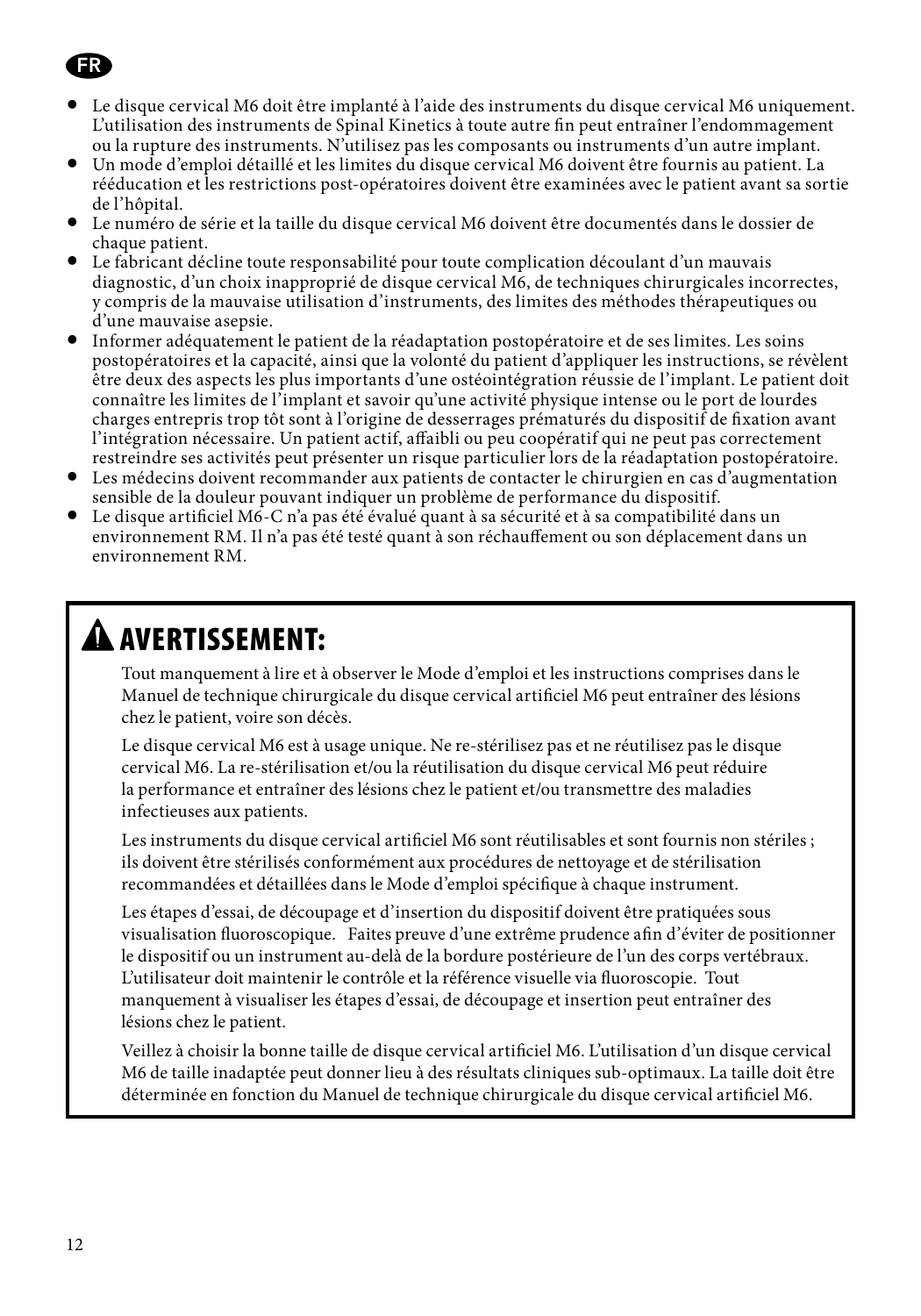

- Le disque cervical M6 doit être implanté à l'aide des instruments du disque cervical M6 uniquement. L'utilisation des instruments de Spinal Kinetics à toute autre fin peut entraîner l'endommagement ou la rupture des instruments. N'utilisez pas les composants ou instruments d'un autre implant.
- Un mode d'emploi détaillé et les limites du disque cervical M6 doivent être fournis au patient. La rééducation et les restrictions post-opératoires doivent être examinées avec le patient avant sa sortie de l'hôpital.
- Le numéro de série et la taille du disque cervical M6 doivent être documentés dans le dossier de chaque patient.
- Le fabricant décline toute responsabilité pour toute complication découlant d'un mauvais diagnostic, d'un choix inapproprié de disque cervical M6, de techniques chirurgicales incorrectes, y compris de la mauvaise utilisation d'instruments, des limites des méthodes thérapeutiques ou d'une mauvaise asepsie.
- Informer adéquatement le patient de la réadaptation postopératoire et de ses limites. Les soins postopératoires et la capacité, ainsi que la volonté du patient d'appliquer les instructions, se révèlent être deux des aspects les plus importants d'une ostéointégration réussie de l'implant. Le patient doit connaître les limites de l'implant et savoir qu'une activité physique intense ou le port de lourdes charges entrepris trop tôt sont à l'origine de desserrages prématurés du dispositif de fixation avant l'intégration nécessaire. Un patient actif, affaibli ou peu coopératif qui ne peut pas correctement restreindre ses activités peut présenter un risque particulier lors de la réadaptation postopératoire.
- Les médecins doivent recommander aux patients de contacter le chirurgien en cas d'augmentation sensible de la douleur pouvant indiquer un problème de performance du dispositif.
- Le disque artificiel M6-C n'a pas été évalué quant à sa sécurité et à sa compatibilité dans un environnement RM. Il n'a pas été testé quant à son réchauffement ou son déplacement dans un environnement RM.

# AVERTISSEMENT:

Tout manquement à lire et à observer le Mode d'emploi et les instructions comprises dans le Manuel de technique chirurgicale du disque cervical artificiel M6 peut entraîner des lésions chez le patient, voire son décès.

Le disque cervical M6 est à usage unique. Ne re-stérilisez pas et ne réutilisez pas le disque cervical M6. La re-stérilisation et/ou la réutilisation du disque cervical M6 peut réduire la performance et entraîner des lésions chez le patient et/ou transmettre des maladies infectieuses aux patients.

Les instruments du disque cervical artificiel M6 sont réutilisables et sont fournis non stériles ; ils doivent être stérilisés conformément aux procédures de nettoyage et de stérilisation recommandées et détaillées dans le Mode d'emploi spécifique à chaque instrument.

Les étapes d'essai, de découpage et d'insertion du dispositif doivent être pratiquées sous visualisation fluoroscopique. Faites preuve d'une extrême prudence afin d'éviter de positionner le dispositif ou un instrument au-delà de la bordure postérieure de l'un des corps vertébraux. L'utilisateur doit maintenir le contrôle et la référence visuelle via fluoroscopie. Tout manquement à visualiser les étapes d'essai, de découpage et insertion peut entraîner des lésions chez le patient.

Veillez à choisir la bonne taille de disque cervical artificiel M6. L'utilisation d'un disque cervical M6 de taille inadaptée peut donner lieu à des résultats cliniques sub-optimaux. La taille doit être déterminée en fonction du Manuel de technique chirurgicale du disque cervical artificiel M6.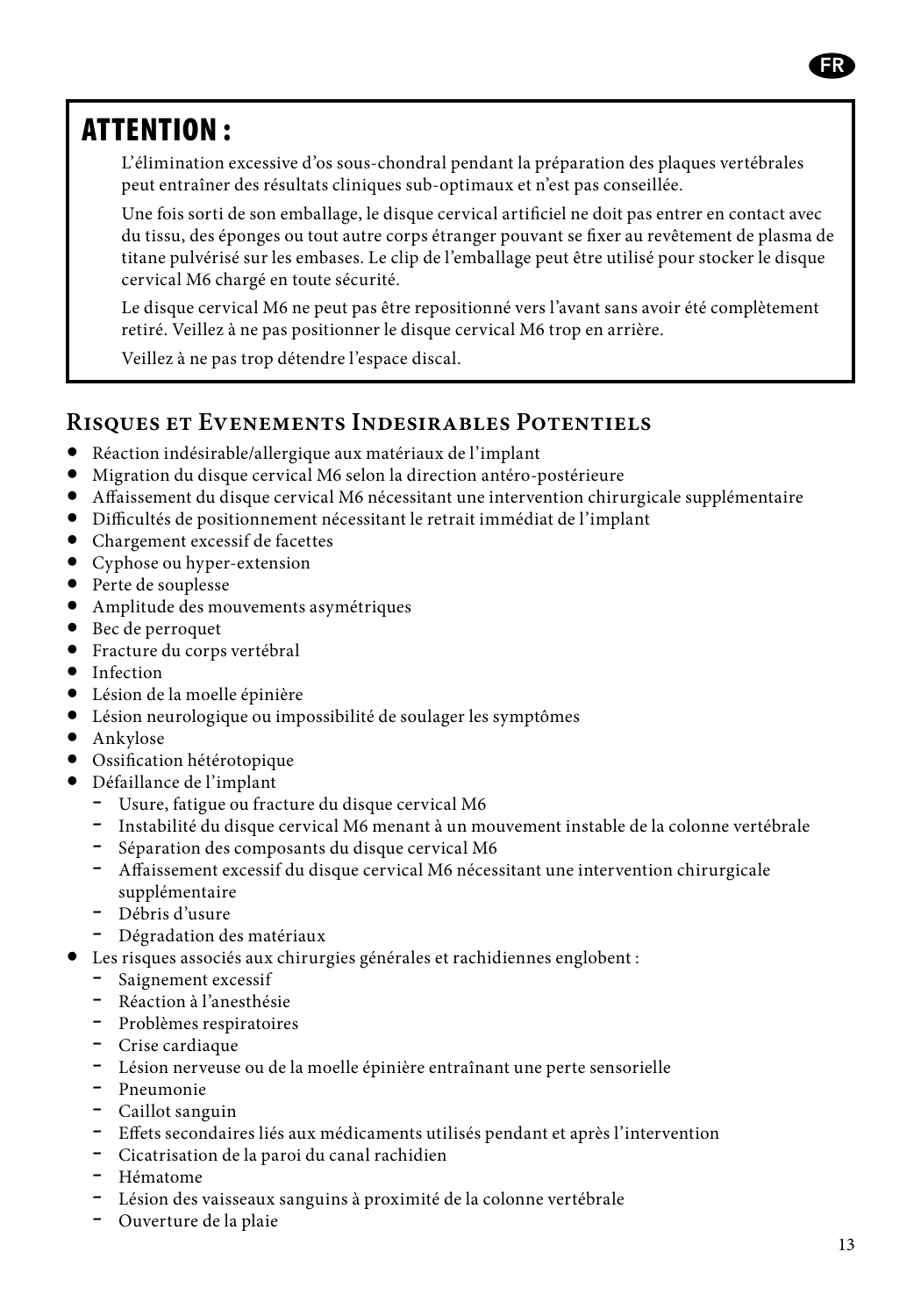## ATTENTION :

L'élimination excessive d'os sous-chondral pendant la préparation des plaques vertébrales peut entraîner des résultats cliniques sub-optimaux et n'est pas conseillée.

Une fois sorti de son emballage, le disque cervical artificiel ne doit pas entrer en contact avec du tissu, des éponges ou tout autre corps étranger pouvant se fixer au revêtement de plasma de titane pulvérisé sur les embases. Le clip de l'emballage peut être utilisé pour stocker le disque cervical M6 chargé en toute sécurité.

Le disque cervical M6 ne peut pas être repositionné vers l'avant sans avoir été complètement retiré. Veillez à ne pas positionner le disque cervical M6 trop en arrière.

Veillez à ne pas trop détendre l'espace discal.

### **Risques et Evenements Indesirables Potentiels**

- Réaction indésirable/allergique aux matériaux de l'implant
- Migration du disque cervical M6 selon la direction antéro-postérieure
- Affaissement du disque cervical M6 nécessitant une intervention chirurgicale supplémentaire
- Difficultés de positionnement nécessitant le retrait immédiat de l'implant
- Chargement excessif de facettes
- Cyphose ou hyper-extension
- Perte de souplesse
- Amplitude des mouvements asymétriques
- Bec de perroquet
- Fracture du corps vertébral
- Infection
- Lésion de la moelle épinière
- Lésion neurologique ou impossibilité de soulager les symptômes
- Ankylose
- Ossification hétérotopique
- Défaillance de l'implant
	- Usure, fatigue ou fracture du disque cervical M6
	- Instabilité du disque cervical M6 menant à un mouvement instable de la colonne vertébrale
	- Séparation des composants du disque cervical M6
	- Affaissement excessif du disque cervical M6 nécessitant une intervention chirurgicale supplémentaire
	- Débris d'usure
	- Dégradation des matériaux
- Les risques associés aux chirurgies générales et rachidiennes englobent :
	- Saignement excessif
		- Réaction à l'anesthésie
		- Problèmes respiratoires
		- Crise cardiaque
		- Lésion nerveuse ou de la moelle épinière entraînant une perte sensorielle
		- Pneumonie
		- Caillot sanguin
		- Effets secondaires liés aux médicaments utilisés pendant et après l'intervention
		- Cicatrisation de la paroi du canal rachidien
		- Hématome
		- Lésion des vaisseaux sanguins à proximité de la colonne vertébrale
		- Ouverture de la plaie

FR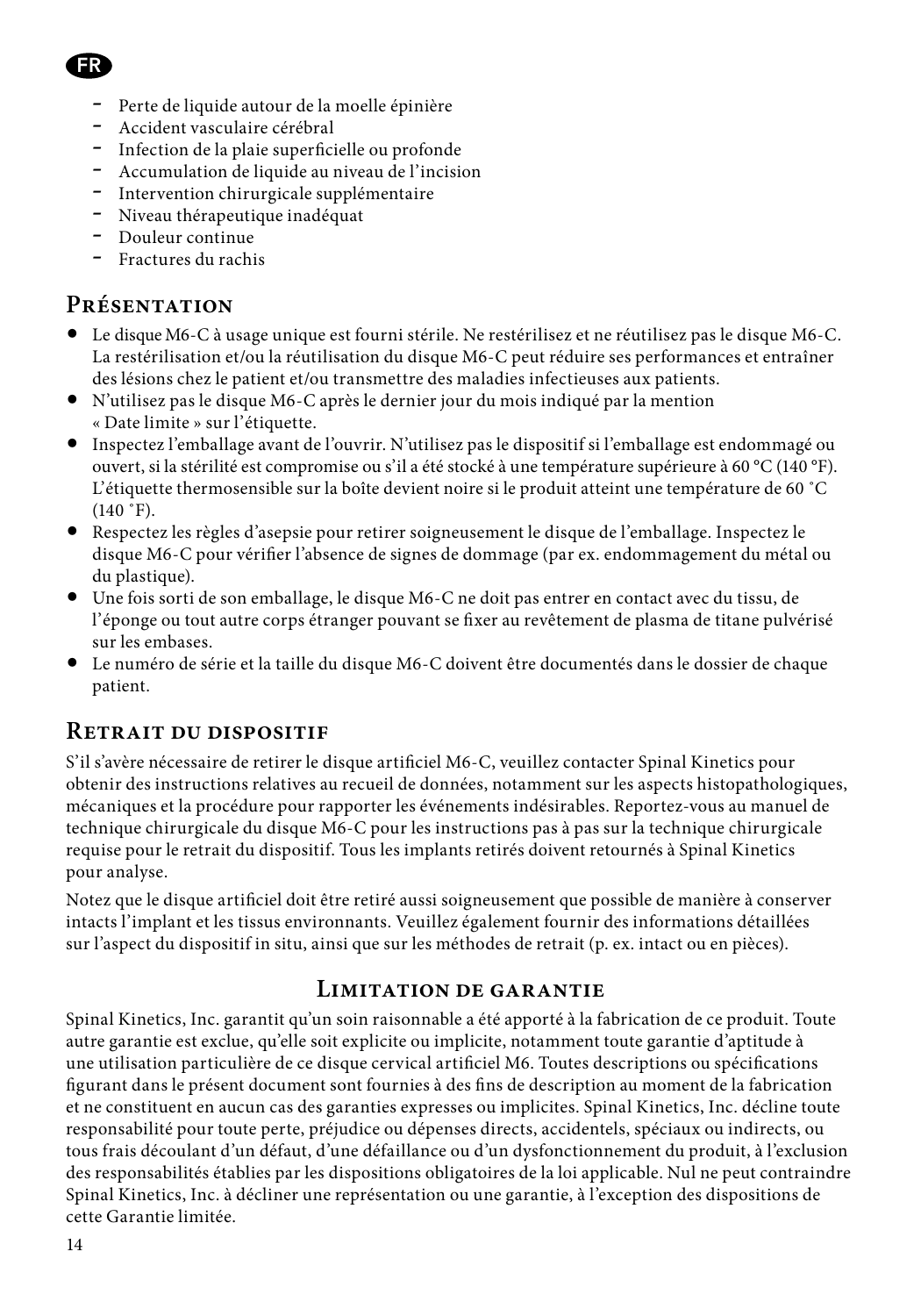

- Perte de liquide autour de la moelle épinière
- Accident vasculaire cérébral
- Infection de la plaie superficielle ou profonde
- Accumulation de liquide au niveau de l'incision
- Intervention chirurgicale supplémentaire
- Niveau thérapeutique inadéquat
- Douleur continue
- Fractures du rachis

### **Présentation**

- Le disque M6-C à usage unique est fourni stérile. Ne restérilisez et ne réutilisez pas le disque M6-C. La restérilisation et/ou la réutilisation du disque M6-C peut réduire ses performances et entraîner des lésions chez le patient et/ou transmettre des maladies infectieuses aux patients.
- N'utilisez pas le disque M6-C après le dernier jour du mois indiqué par la mention « Date limite » sur l'étiquette.
- Inspectez l'emballage avant de l'ouvrir. N'utilisez pas le dispositif si l'emballage est endommagé ou ouvert, si la stérilité est compromise ou s'il a été stocké à une température supérieure à 60 °C (140 °F). L'étiquette thermosensible sur la boîte devient noire si le produit atteint une température de 60 ˚C  $(140 \text{ } ^{\circ} \text{F})$ .
- Respectez les règles d'asepsie pour retirer soigneusement le disque de l'emballage. Inspectez le disque M6-C pour vérifier l'absence de signes de dommage (par ex. endommagement du métal ou du plastique).
- Une fois sorti de son emballage, le disque M6-C ne doit pas entrer en contact avec du tissu, de l'éponge ou tout autre corps étranger pouvant se fixer au revêtement de plasma de titane pulvérisé sur les embases.
- Le numéro de série et la taille du disque M6-C doivent être documentés dans le dossier de chaque patient.

### **Retrait du dispositif**

S'il s'avère nécessaire de retirer le disque artificiel M6-C, veuillez contacter Spinal Kinetics pour obtenir des instructions relatives au recueil de données, notamment sur les aspects histopathologiques, mécaniques et la procédure pour rapporter les événements indésirables. Reportez-vous au manuel de technique chirurgicale du disque M6-C pour les instructions pas à pas sur la technique chirurgicale requise pour le retrait du dispositif. Tous les implants retirés doivent retournés à Spinal Kinetics pour analyse.

Notez que le disque artificiel doit être retiré aussi soigneusement que possible de manière à conserver intacts l'implant et les tissus environnants. Veuillez également fournir des informations détaillées sur l'aspect du dispositif in situ, ainsi que sur les méthodes de retrait (p. ex. intact ou en pièces).

#### **Limitation de garantie**

Spinal Kinetics, Inc. garantit qu'un soin raisonnable a été apporté à la fabrication de ce produit. Toute autre garantie est exclue, qu'elle soit explicite ou implicite, notamment toute garantie d'aptitude à une utilisation particulière de ce disque cervical artificiel M6. Toutes descriptions ou spécifications figurant dans le présent document sont fournies à des fins de description au moment de la fabrication et ne constituent en aucun cas des garanties expresses ou implicites. Spinal Kinetics, Inc. décline toute responsabilité pour toute perte, préjudice ou dépenses directs, accidentels, spéciaux ou indirects, ou tous frais découlant d'un défaut, d'une défaillance ou d'un dysfonctionnement du produit, à l'exclusion des responsabilités établies par les dispositions obligatoires de la loi applicable. Nul ne peut contraindre Spinal Kinetics, Inc. à décliner une représentation ou une garantie, à l'exception des dispositions de cette Garantie limitée.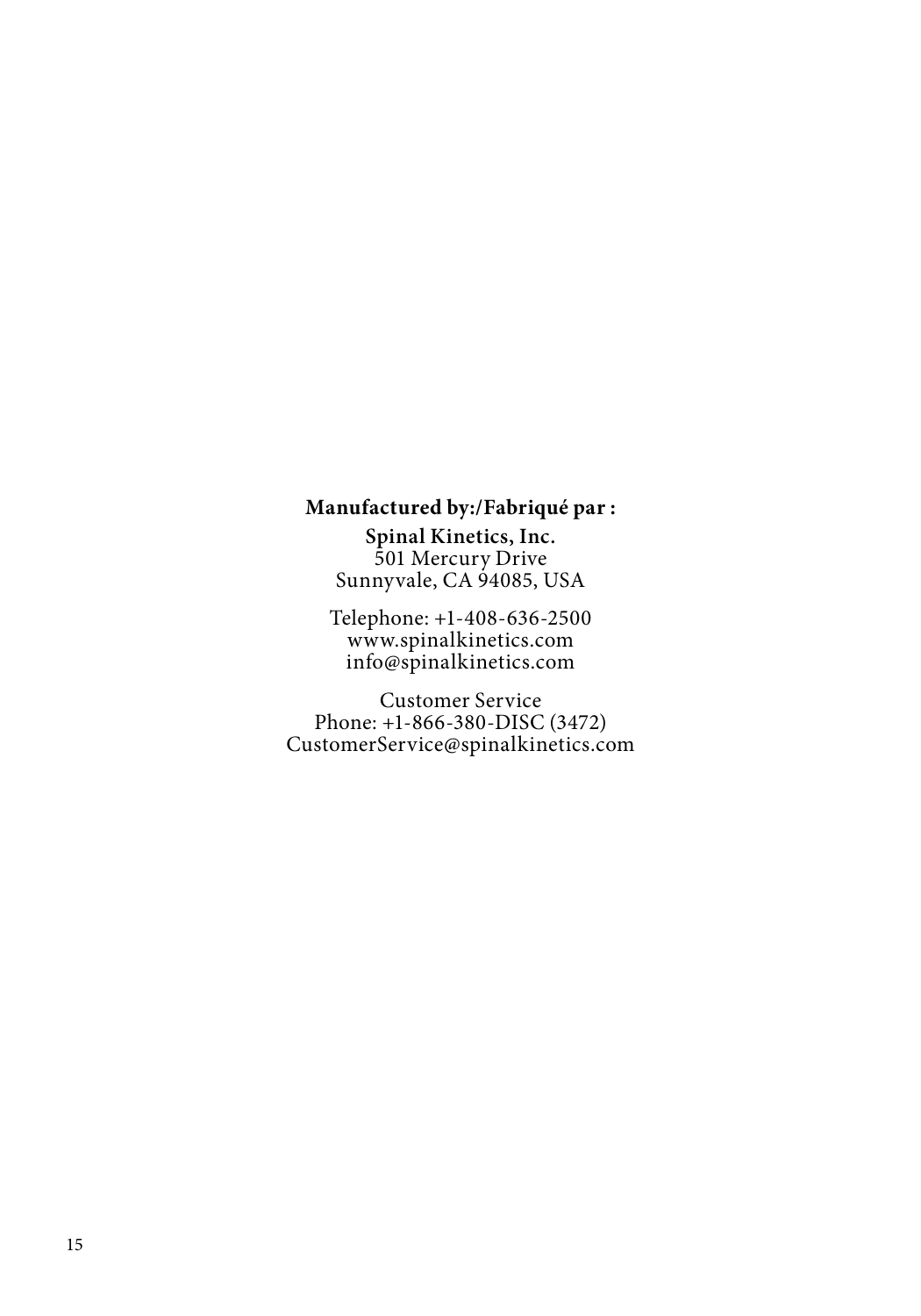#### **Manufactured by:/Fabriqué par : Spinal Kinetics, Inc.** 501 Mercury Drive Sunnyvale, CA 94085, USA

Telephone: +1-408-636-2500 www.spinalkinetics.com info@spinalkinetics.com

Customer Service Phone: +1-866-380-DISC (3472) CustomerService@spinalkinetics.com